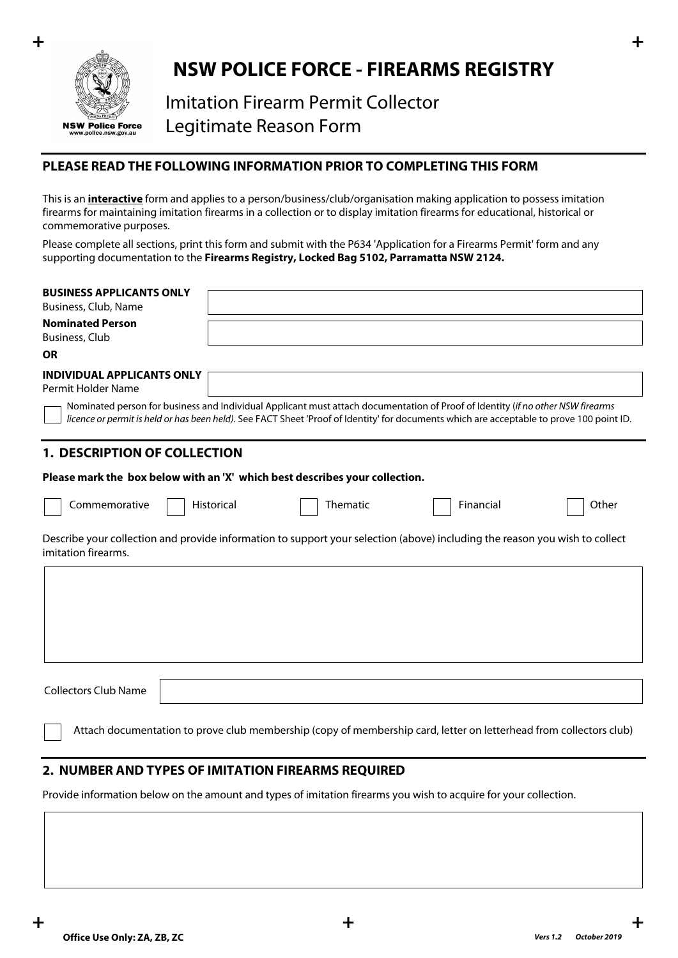

# **NSW POLICE FORCE - FIREARMS REGISTRY**

Imitation Firearm Permit Collector Legitimate Reason Form

## **PLEASE READ THE FOLLOWING INFORMATION PRIOR TO COMPLETING THIS FORM**

This is an **interactive** form and applies to a person/business/club/organisation making application to possess imitation firearms for maintaining imitation firearms in a collection or to display imitation firearms for educational, historical or commemorative purposes.

Please complete all sections, print this form and submit with the P634 'Application for a Firearms Permit' form and any supporting documentation to the **Firearms Registry, Locked Bag 5102, Parramatta NSW 2124.**

| <b>BUSINESS APPLICANTS ONLY</b>                                                                                                                                                                                                                                              |            |          |           |       |
|------------------------------------------------------------------------------------------------------------------------------------------------------------------------------------------------------------------------------------------------------------------------------|------------|----------|-----------|-------|
| Business, Club, Name                                                                                                                                                                                                                                                         |            |          |           |       |
| <b>Nominated Person</b><br>Business, Club                                                                                                                                                                                                                                    |            |          |           |       |
| <b>OR</b>                                                                                                                                                                                                                                                                    |            |          |           |       |
| <b>INDIVIDUAL APPLICANTS ONLY</b><br>Permit Holder Name                                                                                                                                                                                                                      |            |          |           |       |
| Nominated person for business and Individual Applicant must attach documentation of Proof of Identity (if no other NSW firearms<br>licence or permit is held or has been held). See FACT Sheet 'Proof of Identity' for documents which are acceptable to prove 100 point ID. |            |          |           |       |
| <b>1. DESCRIPTION OF COLLECTION</b>                                                                                                                                                                                                                                          |            |          |           |       |
| Please mark the box below with an 'X' which best describes your collection.                                                                                                                                                                                                  |            |          |           |       |
| Commemorative                                                                                                                                                                                                                                                                | Historical | Thematic | Financial | Other |
| Describe your collection and provide information to support your selection (above) including the reason you wish to collect<br>imitation firearms.                                                                                                                           |            |          |           |       |
|                                                                                                                                                                                                                                                                              |            |          |           |       |
|                                                                                                                                                                                                                                                                              |            |          |           |       |
|                                                                                                                                                                                                                                                                              |            |          |           |       |
|                                                                                                                                                                                                                                                                              |            |          |           |       |
|                                                                                                                                                                                                                                                                              |            |          |           |       |
| <b>Collectors Club Name</b>                                                                                                                                                                                                                                                  |            |          |           |       |
| Attach documentation to prove club membership (copy of membership card, letter on letterhead from collectors club)                                                                                                                                                           |            |          |           |       |

# **2. NUMBER AND TYPES OF IMITATION FIREARMS REQUIRED**

Provide information below on the amount and types of imitation firearms you wish to acquire for your collection.